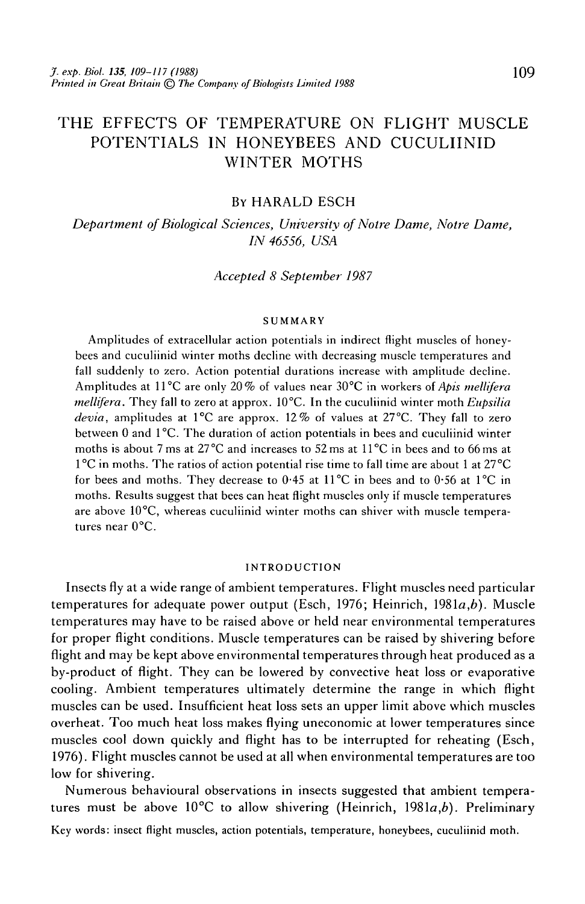# THE EFFECTS OF TEMPERATURE ON FLIGHT MUSCLE POTENTIALS IN HONEYBEES AND CUCULIINID WINTER MOTHS

## BY HARALD ESCH

*Department of Biological Sciences, University of Notre Dame, Notre Dame, IN 46556, USA*

### *Accepted 8 September 1987*

#### **SUMMARY**

Amplitudes of extracellular action potentials in indirect flight muscles of honeybees and cuculiinid winter moths decline with decreasing muscle temperatures and fall suddenly to zero. Action potential durations increase with amplitude decline. Amplitudes at 11°C are only 20% of values near 30°C in workers of *Apis mellifera mellifera.* They fall to zero at approx. 10°C. In the cuculiinid winter moth *Eupsilia devia,* amplitudes at 1°C are approx. 12% of values at 27°C. They fall to zero between 0 and 1°C. The duration of action potentials in bees and cuculiinid winter moths is about 7 ms at 27 °C and increases to 52 ms at 11°C in bees and to 66 ms at 1°C in moths. The ratios of action potential rise time to fall time are about 1 at 27°C for bees and moths. They decrease to 0-45 at 11°C in bees and to 0-56 at 1°C in moths. Results suggest that bees can heat flight muscles only if muscle temperatures are above 10°C, whereas cuculiinid winter moths can shiver with muscle temperatures near 0°C.

#### **INTRODUCTION**

Insects fly at a wide range of ambient temperatures. Flight muscles need particular temperatures for adequate power output (Esch, 1976; Heinrich, 1981a,*b).* Muscle temperatures may have to be raised above or held near environmental temperatures for proper flight conditions. Muscle temperatures can be raised by shivering before flight and may be kept above environmental temperatures through heat produced as a by-product of flight. They can be lowered by convective heat loss or evaporative cooling. Ambient temperatures ultimately determine the range in which flight muscles can be used. Insufficient heat loss sets an upper limit above which muscles overheat. Too much heat loss makes flying uneconomic at lower temperatures since muscles cool down quickly and flight has to be interrupted for reheating (Esch, 1976). Flight muscles cannot be used at all when environmental temperatures are too low for shivering.

Numerous behavioural observations in insects suggested that ambient temperatures must be above 10°C to allow shivering (Heinrich, 1981a,*b).* Preliminary

Key words: insect flight muscles, action potentials, temperature, honeybees, cuculiinid moth.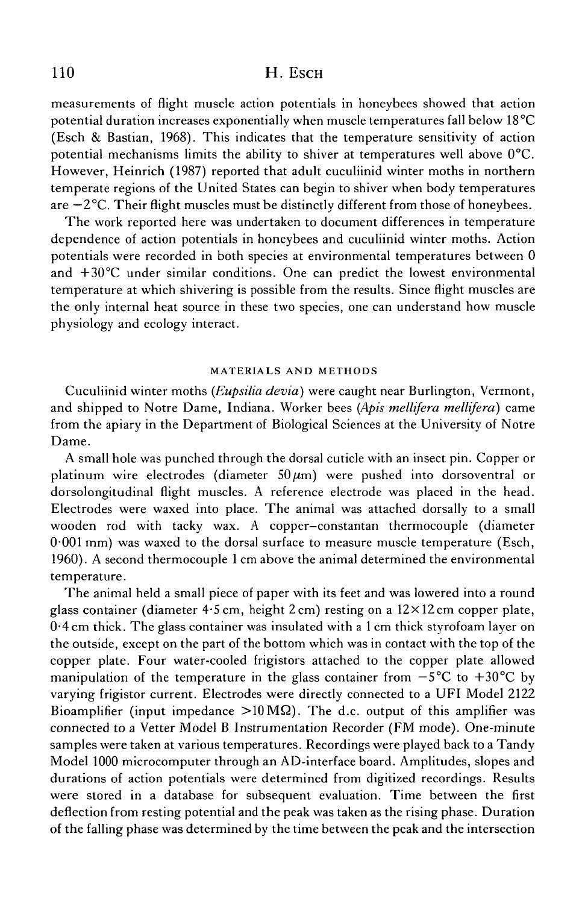# 110 **H. ESCH**

measurements of flight muscle action potentials in honeybees showed that action potential duration increases exponentially when muscle temperatures fall below 18°C (Esch & Bastian, 1968). This indicates that the temperature sensitivity of action potential mechanisms limits the ability to shiver at temperatures well above 0°C. However, Heinrich (1987) reported that adult cuculiinid winter moths in northern temperate regions of the United States can begin to shiver when body temperatures are  $-2$ °C. Their flight muscles must be distinctly different from those of honeybees.

The work reported here was undertaken to document differences in temperature dependence of action potentials in honeybees and cuculiinid winter moths. Action potentials were recorded in both species at environmental temperatures between 0 and +30°C under similar conditions. One can predict the lowest environmental temperature at which shivering is possible from the results. Since flight muscles are the only internal heat source in these two species, one can understand how muscle physiology and ecology interact.

#### MATERIALS AND METHODS

Cuculiinid winter moths *(Eupsilia devia)* were caught near Burlington, Vermont, and shipped to Notre Dame, Indiana. Worker bees *(Apis mellifera mellifera)* came from the apiary in the Department of Biological Sciences at the University of Notre Dame.

A small hole was punched through the dorsal cuticle with an insect pin. Copper or platinum wire electrodes (diameter  $50 \mu m$ ) were pushed into dorsoventral or dorsolongitudinal flight muscles. A reference electrode was placed in the head. Electrodes were waxed into place. The animal was attached dorsally to a small wooden rod with tacky wax. A copper—constantan thermocouple (diameter 0-001 mm) was waxed to the dorsal surface to measure muscle temperature (Esch, 1960). A second thermocouple 1 cm above the animal determined the environmental temperature.

The animal held a small piece of paper with its feet and was lowered into a round glass container (diameter 4-5cm, height 2cm) resting on a 12xl2cm copper plate, 0\*4 cm thick. The glass container was insulated with a 1 cm thick styrofoam layer on the outside, except on the part of the bottom which was in contact with the top of the copper plate. Four water-cooled frigistors attached to the copper plate allowed manipulation of the temperature in the glass container from  $-5^{\circ}$ C to  $+30^{\circ}$ C by varying frigistor current. Electrodes were directly connected to a UFI Model 2122 Bioamplifier (input impedance  $>10 \text{ M}\Omega$ ). The d.c. output of this amplifier was connected to a Vetter Model B Instrumentation Recorder (FM mode). One-minute samples were taken at various temperatures. Recordings were played back to a Tandy Model 1000 microcomputer through an AD-interface board. Amplitudes, slopes and durations of action potentials were determined from digitized recordings. Results were stored in a database for subsequent evaluation. Time between the first deflection from resting potential and the peak was taken as the rising phase. Duration of the falling phase was determined by the time between the peak and the intersection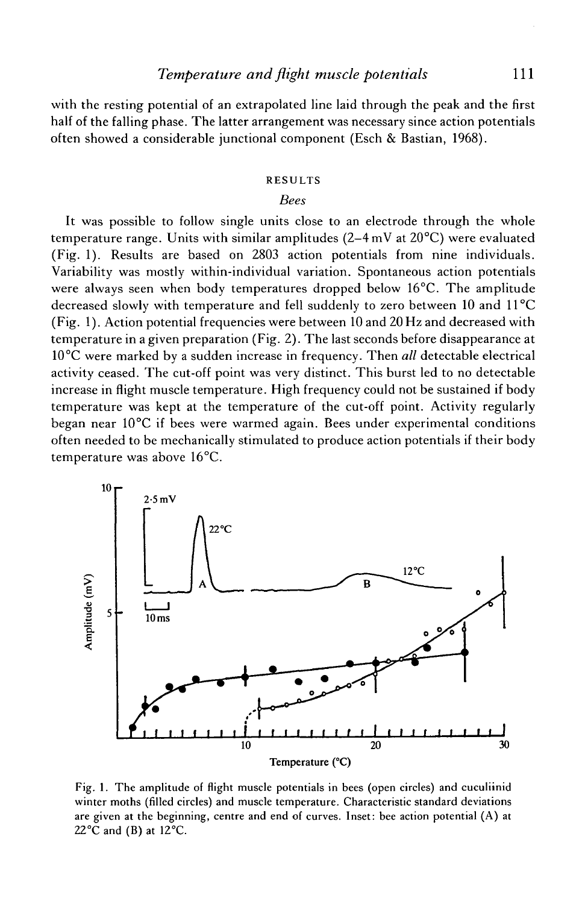with the resting potential of an extrapolated line laid through the peak and the first half of the falling phase. The latter arrangement was necessary since action potentials often showed a considerable junctional component (Esch & Bastian, 1968).

### RESULTS

### *Bees*

It was possible to follow single units close to an electrode through the whole temperature range. Units with similar amplitudes ( $2-4$  mV at  $20^{\circ}$ C) were evaluated (Fig. 1). Results are based on 2803 action potentials from nine individuals. Variability was mostly within-individual variation. Spontaneous action potentials were always seen when body temperatures dropped below 16°C. The amplitude decreased slowly with temperature and fell suddenly to zero between 10 and 11°C (Fig. 1). Action potential frequencies were between 10 and 20 Hz and decreased with temperature in a given preparation (Fig. 2). The last seconds before disappearance at 10°C were marked by a sudden increase in frequency. Then *all* detectable electrical activity ceased. The cut-off point was very distinct. This burst led to no detectable increase in flight muscle temperature. High frequency could not be sustained if body temperature was kept at the temperature of the cut-off point. Activity regularly began near 10°C if bees were warmed again. Bees under experimental conditions often needed to be mechanically stimulated to produce action potentials if their body temperature was above 16°C.



Fig. 1. The amplitude of flight muscle potentials in bees (open circles) and cuculiinid winter moths (filled circles) and muscle temperature. Characteristic standard deviations are given at the beginning, centre and end of curves. Inset: bee action potential (A) at  $22^{\circ}$ C and (B) at 12 $^{\circ}$ C.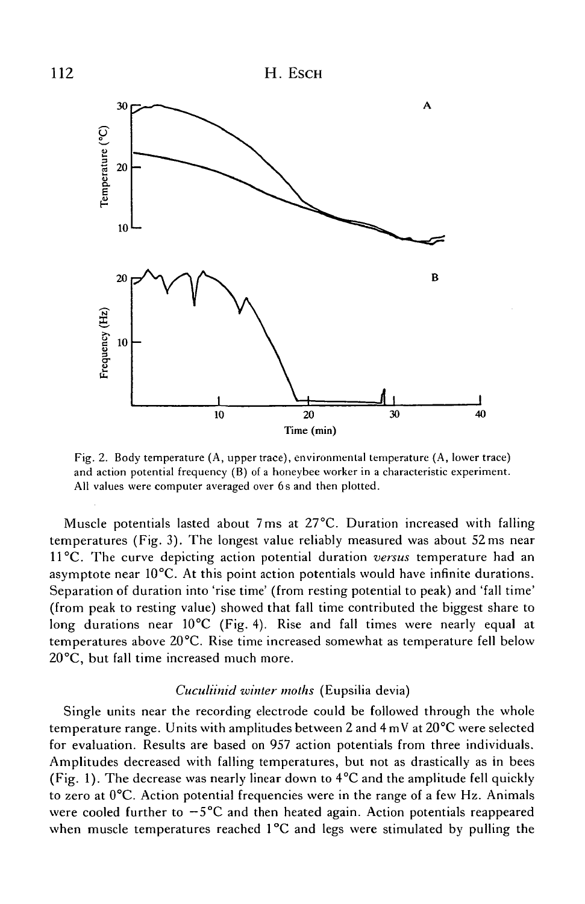

Fig. 2. Body temperature (A, upper trace), environmental temperature (A, lower trace) and action potential frequency (B) of a honeybee worker in a characteristic experiment. All values were computer averaged over 6s and then plotted.

Muscle potentials lasted about 7ms at 27°C. Duration increased with falling temperatures (Fig. 3). The longest value reliably measured was about 52 ms near 11°C. The curve depicting action potential duration *versus* temperature had an asymptote near 10°C. At this point action potentials would have infinite durations. Separation of duration into 'rise time' (from resting potential to peak) and 'fall time' (from peak to resting value) showed that fall time contributed the biggest share to long durations near 10°C (Fig. 4). Rise and fall times were nearly equal at temperatures above 20°C. Rise time increased somewhat as temperature fell below 20°C, but fall time increased much more.

### *Cuculiinid winter moths* (Eupsilia devia)

Single units near the recording electrode could be followed through the whole temperature range. Units with amplitudes between 2 and 4 mV at 20°C were selected for evaluation. Results are based on 957 action potentials from three individuals. Amplitudes decreased with falling temperatures, but not as drastically as in bees (Fig. 1). The decrease was nearly linear down to 4°C and the amplitude fell quickly to zero at  $0^{\circ}C$ . Action potential frequencies were in the range of a few Hz. Animals were cooled further to  $-5^{\circ}$ C and then heated again. Action potentials reappeared when muscle temperatures reached 1°C and legs were stimulated by pulling the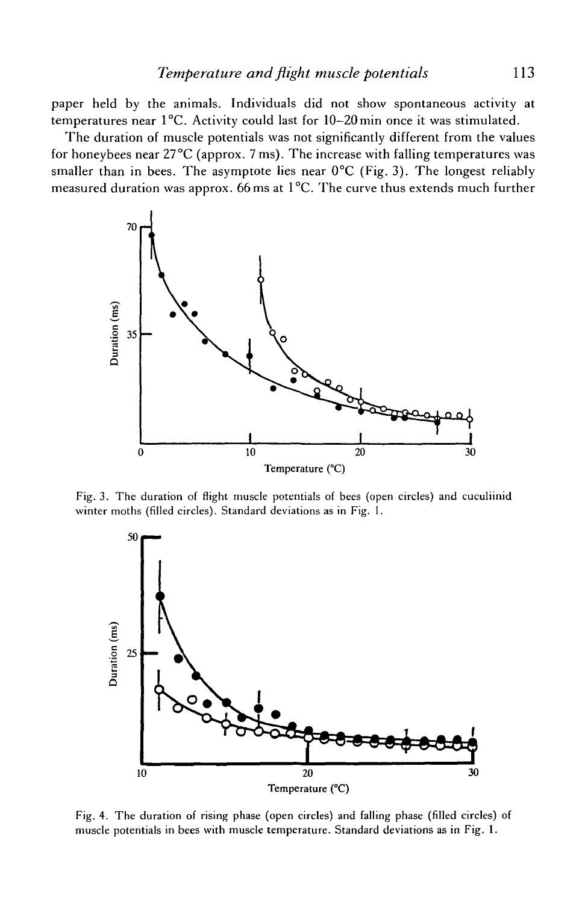paper held by the animals. Individuals did not show spontaneous activity at temperatures near 1°C. Activity could last for 10—20min once it was stimulated.

The duration of muscle potentials was not significantly different from the values for honeybees near  $27^{\circ}$ C (approx. 7 ms). The increase with falling temperatures was smaller than in bees. The asymptote lies near  $0^{\circ}C$  (Fig. 3). The longest reliably measured duration was approx. 66 ms at 1°C. The curve thus extends much further



Fig. 3. The duration of flight muscle potentials of bees (open circles) and cuculiinid winter moths (filled circles). Standard deviations as in Fig. 1.



Fig. 4. The duration of rising phase (open circles) and falling phase (filled circles) of muscle potentials in bees with muscle temperature. Standard deviations as in Fig. 1.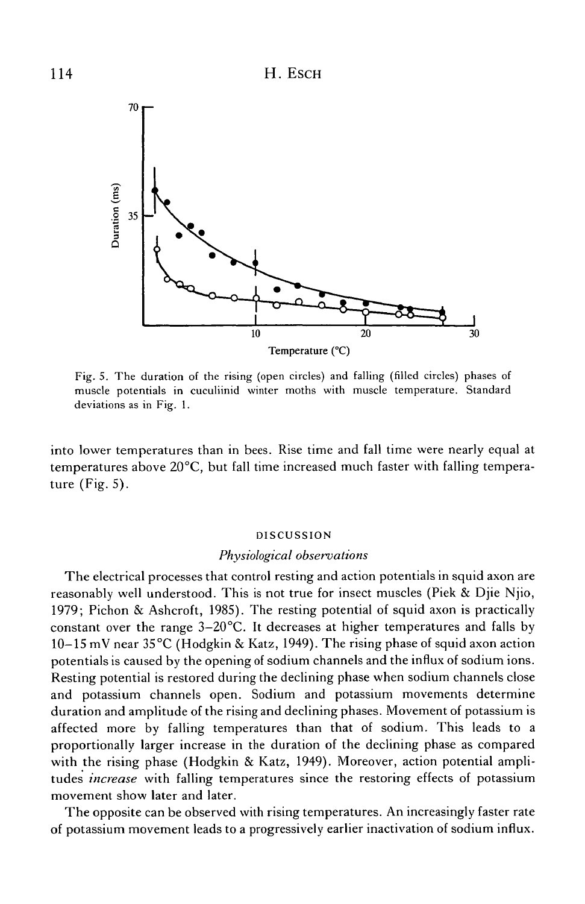

Fig. 5. The duration of the rising (open circles) and falling (filled circles) phases of muscle potentials in cuculiinid winter moths with muscle temperature. Standard deviations as in Fig. 1.

into lower temperatures than in bees. Rise time and fall time were nearly equal at temperatures above 20°C, but fall time increased much faster with falling temperature (Fig. 5).

### DISCUSSION

#### *Physiological observations*

The electrical processes that control resting and action potentials in squid axon are reasonably well understood. This is not true for insect muscles (Piek & Djie Njio, 1979; Pichon & Ashcroft, 1985). The resting potential of squid axon is practically constant over the range 3—20°C. It decreases at higher temperatures and falls by 10-15 mV near 35°C (Hodgkin & Katz, 1949). The rising phase of squid axon action potentials is caused by the opening of sodium channels and the influx of sodium ions. Resting potential is restored during the declining phase when sodium channels close and potassium channels open. Sodium and potassium movements determine duration and amplitude of the rising and declining phases. Movement of potassium is affected more by falling temperatures than that of sodium. This leads to a proportionally larger increase in the duration of the declining phase as compared with the rising phase (Hodgkin & Katz, 1949). Moreover, action potential amplitudes *increase* with falling temperatures since the restoring effects of potassium movement show later and later.

The opposite can be observed with rising temperatures. An increasingly faster rate of potassium movement leads to a progressively earlier inactivation of sodium influx.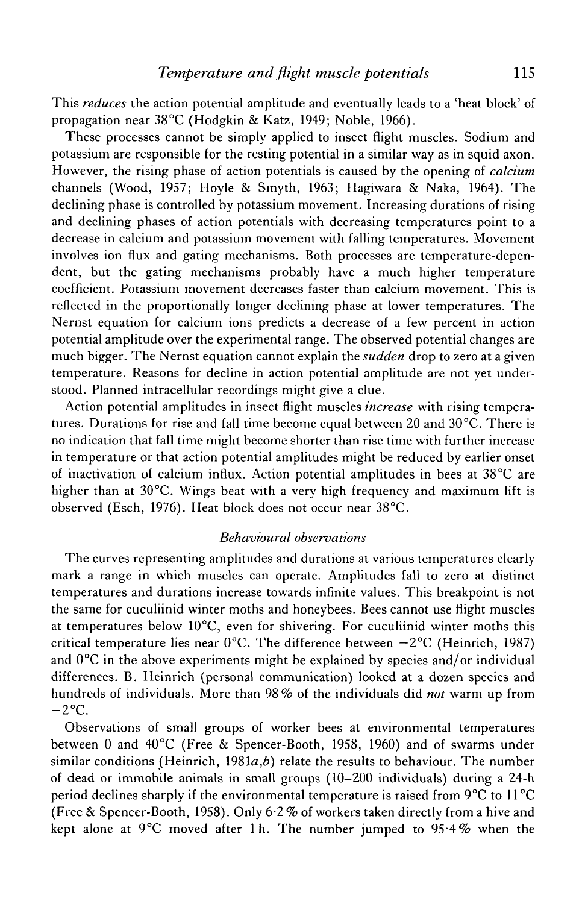This *reduces* the action potential amplitude and eventually leads to a 'heat block' of propagation near 38°C (Hodgkin & Katz, 1949; Noble, 1966).

These processes cannot be simply applied to insect flight muscles. Sodium and potassium are responsible for the resting potential in a similar way as in squid axon. However, the rising phase of action potentials is caused by the opening of *calcium.* channels (Wood, 1957; Hoyle & Smyth, 1963; Hagiwara & Naka, 1964). The declining phase is controlled by potassium movement. Increasing durations of rising and declining phases of action potentials with decreasing temperatures point to a decrease in calcium and potassium movement with falling temperatures. Movement involves ion flux and gating mechanisms. Both processes are temperature-dependent, but the gating mechanisms probably have a much higher temperature coefficient. Potassium movement decreases faster than calcium movement. This is reflected in the proportionally longer declining phase at lower temperatures. The Nernst equation for calcium ions predicts a decrease of a few percent in action potential amplitude over the experimental range. The observed potential changes are much bigger. The Nernst equation cannot explain the *sudden* drop to zero at a given temperature. Reasons for decline in action potential amplitude are not yet understood. Planned intracellular recordings might give a clue.

Action potential amplitudes in insect flight muscles *increase* with rising temperatures. Durations for rise and fall time become equal between 20 and 30°C. There is no indication that fall time might become shorter than rise time with further increase in temperature or that action potential amplitudes might be reduced by earlier onset of inactivation of calcium influx. Action potential amplitudes in bees at 38°C are higher than at 30°C. Wings beat with a very high frequency and maximum lift is observed (Esch, 1976). Heat block does not occur near 38°C.

### *Behavioural observations*

The curves representing amplitudes and durations at various temperatures clearly mark a range in which muscles can operate. Amplitudes fall to zero at distinct temperatures and durations increase towards infinite values. This breakpoint is not the same for cuculiinid winter moths and honeybees. Bees cannot use flight muscles at temperatures below 10°C, even for shivering. For cuculiinid winter moths this critical temperature lies near  $0^{\circ}$ C. The difference between  $-2^{\circ}$ C (Heinrich, 1987) and  $0^{\circ}$ C in the above experiments might be explained by species and/or individual differences. B. Heinrich (personal communication) looked at a dozen species and hundreds of individuals. More than 98% of the individuals did *not* warm up from  $-2$ °C.

Observations of small groups of worker bees at environmental temperatures between 0 and 40°C (Free & Spencer-Booth, 1958, 1960) and of swarms under similar conditions (Heinrich, 1981a,*b)* relate the results to behaviour. The number of dead or immobile animals in small groups (10-200 individuals) during a 24-h period declines sharply if the environmental temperature is raised from 9°C to 11°C (Free & Spencer-Booth, 1958). Only 6-2% of workers taken directly from a hive and kept alone at  $9^{\circ}$ C moved after 1 h. The number jumped to  $95.4\%$  when the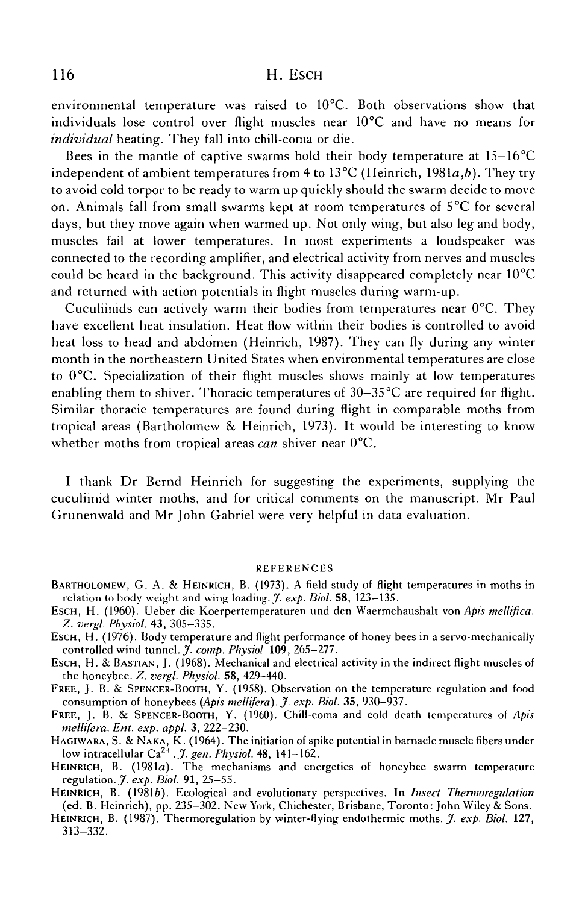# 116 H. ESCH

environmental temperature was raised to 10°C. Both observations show that individuals lose control over flight muscles near 10°C and have no means for *individual* heating. They fall into chill-coma or die.

Bees in the mantle of captive swarms hold their body temperature at 15-16°C independent of ambient temperatures from 4 to 13°C (Heinrich, 1981a,*b).* They try to avoid cold torpor to be ready to warm up quickly should the swarm decide to move on. Animals fall from small swarms kept at room temperatures of 5°C for several days, but they move again when warmed up. Not only wing, but also leg and body, muscles fail at lower temperatures. In most experiments a loudspeaker was connected to the recording amplifier, and electrical activity from nerves and muscles could be heard in the background. This activity disappeared completely near  $10^{\circ}$ C and returned with action potentials in flight muscles during warm-up.

Cuculiinids can actively warm their bodies from temperatures near  $0^{\circ}$ C. They have excellent heat insulation. Heat flow within their bodies is controlled to avoid heat loss to head and abdomen (Heinrich, 1987). They can fly during any winter month in the northeastern United States when environmental temperatures are close to 0°C. Specialization of their flight muscles shows mainly at low temperatures enabling them to shiver. Thoracic temperatures of 30-35°C are required for flight. Similar thoracic temperatures are found during flight in comparable moths from tropical areas (Bartholomew & Heinrich, 1973). It would be interesting to know whether moths from tropical areas *can* shiver near 0°C.

I thank Dr Bernd Heinrich for suggesting the experiments, supplying the cuculiinid winter moths, and for critical comments on the manuscript. Mr Paul Grunenwald and Mr John Gabriel were very helpful in data evaluation.

### REFERENCES

- BARTHOLOMEW, G. A. & HEINRICH, B. (1973). A field study of flight temperatures in moths in relation to body weight and wing loading. *J. exp. Biol.* 58, 123-135.
- ESCH, H. (1960). Ueber die Koerpertemperaturen und den Waermehaushalt von *Apis mellifica. Z. vergl. Physiol.* 43, 305-335.
- ESCH, H. (1976). Body temperature and flight performance of honey bees in a servo-mechanically controlled wind tunnel. J. *comp. Physiol.* **109,** 265-277.
- ESCH, H. & BASTIAN, J. (1968). Mechanical and electrical activity in the indirect flight muscles of the honeybee. Z. *vergl. Physiol.* 58, 429-440.
- FREE, J. B. & SPENCER-BOOTH, Y. (1958). Observation on the temperature regulation and food consumption of honeybees *(Apis mellifera). J. exp. Biol.* 35, 930-937.
- FREE, J. B. & SPENCER-BOOTH, Y. (1960). Chill-coma and cold death temperatures of *Apis mellifera. Ent. exp. appl.* 3, 222-230.
- HAGIWARA, S. & NAKA, K. (1964). The initiation of spike potential in barnacle muscle fibers under low intracellular Ca2+. *J. gen. Physiol.* 48, 141-162.
- HEINRICH, B. (1981a). The mechanisms and energetics of honeybee swarm temperature regulation.X *exp. Biol.* **91,** 25-55.
- HEINRICH, B. (19816). Ecological and evolutionary perspectives. In *Insect Thennoregulation* (ed. B. Heinrich), pp. 235-302. New York, Chichester, Brisbane, Toronto: John Wiley & Sons.
- HEINRICH, B. (1987). Thermoregulation by winter-flying endothermic moths. J. exp. Biol. 127, 313-332.